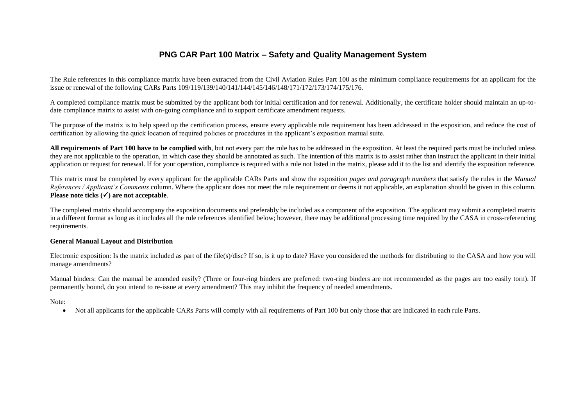## **PNG CAR Part 100 Matrix – Safety and Quality Management System**

The Rule references in this compliance matrix have been extracted from the Civil Aviation Rules Part 100 as the minimum compliance requirements for an applicant for the issue or renewal of the following CARs Parts 109/119/139/140/141/144/145/146/148/171/172/173/174/175/176.

A completed compliance matrix must be submitted by the applicant both for initial certification and for renewal. Additionally, the certificate holder should maintain an up-todate compliance matrix to assist with on-going compliance and to support certificate amendment requests.

The purpose of the matrix is to help speed up the certification process, ensure every applicable rule requirement has been addressed in the exposition, and reduce the cost of certification by allowing the quick location of required policies or procedures in the applicant's exposition manual suite.

All requirements of Part 100 have to be complied with, but not every part the rule has to be addressed in the exposition. At least the required parts must be included unless they are not applicable to the operation, in which case they should be annotated as such. The intention of this matrix is to assist rather than instruct the applicant in their initial application or request for renewal. If for your operation, compliance is required with a rule not listed in the matrix, please add it to the list and identify the exposition reference.

This matrix must be completed by every applicant for the applicable CARs Parts and show the exposition *pages and paragraph numbers* that satisfy the rules in the *Manual References / Applicant's Comments* column. Where the applicant does not meet the rule requirement or deems it not applicable, an explanation should be given in this column. **Please note ticks () are not acceptable**.

The completed matrix should accompany the exposition documents and preferably be included as a component of the exposition. The applicant may submit a completed matrix in a different format as long as it includes all the rule references identified below; however, there may be additional processing time required by the CASA in cross-referencing requirements.

## **General Manual Layout and Distribution**

Electronic exposition: Is the matrix included as part of the file(s)/disc? If so, is it up to date? Have you considered the methods for distributing to the CASA and how you will manage amendments?

Manual binders: Can the manual be amended easily? (Three or four-ring binders are preferred: two-ring binders are not recommended as the pages are too easily torn). If permanently bound, do you intend to re-issue at every amendment? This may inhibit the frequency of needed amendments.

Note:

Not all applicants for the applicable CARs Parts will comply with all requirements of Part 100 but only those that are indicated in each rule Parts.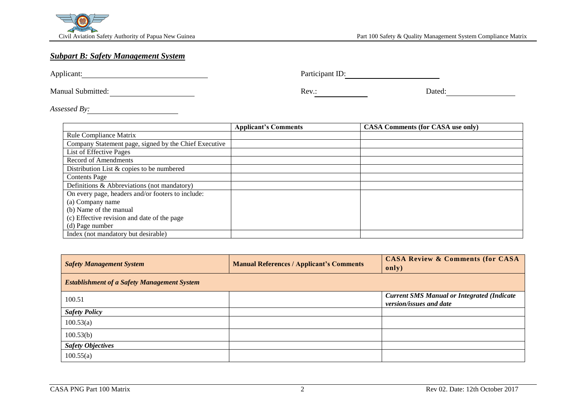

## *Subpart B: Safety Management System*

Applicant: Participant ID:

Manual Submitted: <u>Neverland Submitted:</u> Rev.: Neverland Submitted: Dated:

*Assessed By:*

|                                                       | <b>Applicant's Comments</b> | <b>CASA Comments (for CASA use only)</b> |
|-------------------------------------------------------|-----------------------------|------------------------------------------|
| Rule Compliance Matrix                                |                             |                                          |
| Company Statement page, signed by the Chief Executive |                             |                                          |
| List of Effective Pages                               |                             |                                          |
| <b>Record of Amendments</b>                           |                             |                                          |
| Distribution List & copies to be numbered             |                             |                                          |
| <b>Contents Page</b>                                  |                             |                                          |
| Definitions & Abbreviations (not mandatory)           |                             |                                          |
| On every page, headers and/or footers to include:     |                             |                                          |
| (a) Company name                                      |                             |                                          |
| (b) Name of the manual                                |                             |                                          |
| (c) Effective revision and date of the page           |                             |                                          |
| (d) Page number                                       |                             |                                          |
| Index (not mandatory but desirable)                   |                             |                                          |

| <b>Safety Management System</b>                    | <b>Manual References / Applicant's Comments</b> | <b>CASA Review &amp; Comments (for CASA</b><br>only)                         |
|----------------------------------------------------|-------------------------------------------------|------------------------------------------------------------------------------|
| <b>Establishment of a Safety Management System</b> |                                                 |                                                                              |
| 100.51                                             |                                                 | <b>Current SMS Manual or Integrated (Indicate</b><br>version/issues and date |
| <b>Safety Policy</b>                               |                                                 |                                                                              |
| 100.53(a)                                          |                                                 |                                                                              |
| 100.53(b)                                          |                                                 |                                                                              |
| <b>Safety Objectives</b>                           |                                                 |                                                                              |
| 100.55(a)                                          |                                                 |                                                                              |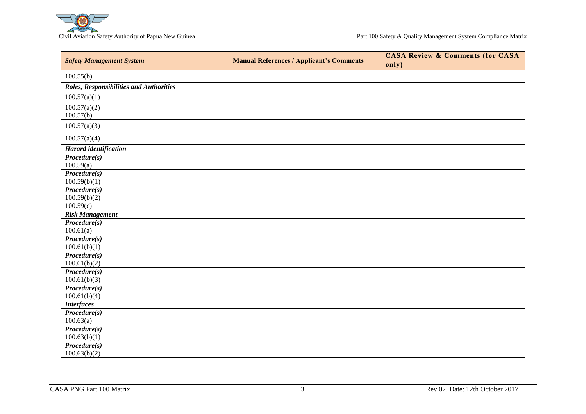

| <b>Safety Management System</b>           | <b>Manual References / Applicant's Comments</b> | <b>CASA Review &amp; Comments (for CASA)</b><br>only) |
|-------------------------------------------|-------------------------------------------------|-------------------------------------------------------|
| 100.55(b)                                 |                                                 |                                                       |
| Roles, Responsibilities and Authorities   |                                                 |                                                       |
| 100.57(a)(1)                              |                                                 |                                                       |
| 100.57(a)(2)<br>100.57(b)                 |                                                 |                                                       |
| 100.57(a)(3)                              |                                                 |                                                       |
| 100.57(a)(4)                              |                                                 |                                                       |
| <b>Hazard</b> identification              |                                                 |                                                       |
| $Proceedure(s)$<br>100.59(a)              |                                                 |                                                       |
| Procedure(s)<br>100.59(b)(1)              |                                                 |                                                       |
| Procedure(s)<br>100.59(b)(2)<br>100.59(c) |                                                 |                                                       |
| <b>Risk Management</b>                    |                                                 |                                                       |
| Procedure(s)<br>100.61(a)                 |                                                 |                                                       |
| Procedure(s)<br>100.61(b)(1)              |                                                 |                                                       |
| Procedure(s)<br>100.61(b)(2)              |                                                 |                                                       |
| Procedure(s)<br>100.61(b)(3)              |                                                 |                                                       |
| Procedure(s)<br>100.61(b)(4)              |                                                 |                                                       |
| <b>Interfaces</b>                         |                                                 |                                                       |
| $Proceedure(s)$<br>100.63(a)              |                                                 |                                                       |
| $Proceedure(s)$<br>100.63(b)(1)           |                                                 |                                                       |
| $Proceedure(s)$<br>100.63(b)(2)           |                                                 |                                                       |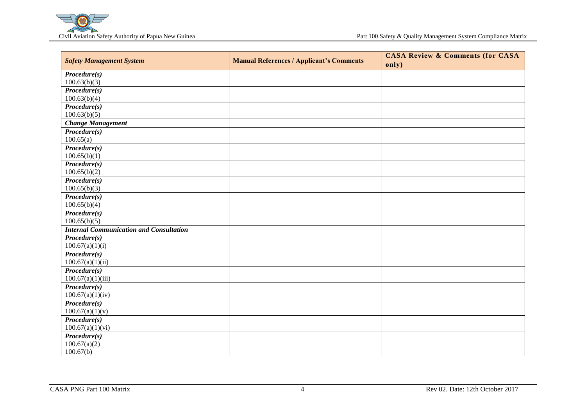

|                                                |                                                 | <b>CASA Review &amp; Comments (for CASA</b> |
|------------------------------------------------|-------------------------------------------------|---------------------------------------------|
| <b>Safety Management System</b>                | <b>Manual References / Applicant's Comments</b> | only)                                       |
| $Proceedure(s)$                                |                                                 |                                             |
| 100.63(b)(3)                                   |                                                 |                                             |
| $Proceedure(s)$                                |                                                 |                                             |
| 100.63(b)(4)                                   |                                                 |                                             |
| $Proceedure(s)$                                |                                                 |                                             |
| 100.63(b)(5)                                   |                                                 |                                             |
| <b>Change Management</b>                       |                                                 |                                             |
| $Proceedure(s)$                                |                                                 |                                             |
| 100.65(a)                                      |                                                 |                                             |
| $Proceedure(s)$                                |                                                 |                                             |
| 100.65(b)(1)                                   |                                                 |                                             |
| $Proceedure(s)$                                |                                                 |                                             |
| 100.65(b)(2)                                   |                                                 |                                             |
| $\overline{\text{Procedure}(s)}$               |                                                 |                                             |
| 100.65(b)(3)                                   |                                                 |                                             |
| $Proceedure(s)$                                |                                                 |                                             |
| 100.65(b)(4)                                   |                                                 |                                             |
| $Proceedure(s)$                                |                                                 |                                             |
| 100.65(b)(5)                                   |                                                 |                                             |
| <b>Internal Communication and Consultation</b> |                                                 |                                             |
| $Proceedure(s)$                                |                                                 |                                             |
| 100.67(a)(1)(i)                                |                                                 |                                             |
| $Proceedure(s)$                                |                                                 |                                             |
| 100.67(a)(1)(ii)                               |                                                 |                                             |
| $Proceedure(s)$                                |                                                 |                                             |
| 100.67(a)(1)(iii)                              |                                                 |                                             |
| $Proceedure(s)$                                |                                                 |                                             |
| 100.67(a)(1)(iv)                               |                                                 |                                             |
| $Proceedure(s)$                                |                                                 |                                             |
| 100.67(a)(1)(v)<br>$Proceedure(s)$             |                                                 |                                             |
| 100.67(a)(1)(vi)                               |                                                 |                                             |
| $Proceedure(s)$                                |                                                 |                                             |
| 100.67(a)(2)                                   |                                                 |                                             |
| 100.67(b)                                      |                                                 |                                             |
|                                                |                                                 |                                             |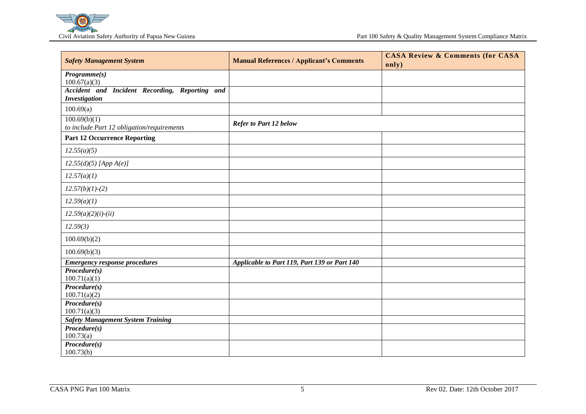

| <b>Safety Management System</b>                                        | <b>Manual References / Applicant's Comments</b> | <b>CASA Review &amp; Comments (for CASA</b><br>only) |
|------------------------------------------------------------------------|-------------------------------------------------|------------------------------------------------------|
| Programme(s)<br>100.67(a)(3)                                           |                                                 |                                                      |
| Accident and Incident Recording, Reporting and<br><b>Investigation</b> |                                                 |                                                      |
| 100.69(a)                                                              |                                                 |                                                      |
| 100.69(b)(1)<br>to include Part 12 obligation/requirements             | Refer to Part 12 below                          |                                                      |
| <b>Part 12 Occurrence Reporting</b>                                    |                                                 |                                                      |
| 12.55(a)(5)                                                            |                                                 |                                                      |
| $12.55(d)(5)$ [App A(e)]                                               |                                                 |                                                      |
| 12.57(a)(1)                                                            |                                                 |                                                      |
| $12.57(b)(1)-(2)$                                                      |                                                 |                                                      |
| 12.59(a)(1)                                                            |                                                 |                                                      |
| $12.59(a)(2)(i)-(ii)$                                                  |                                                 |                                                      |
| 12.59(3)                                                               |                                                 |                                                      |
| 100.69(b)(2)                                                           |                                                 |                                                      |
| 100.69(b)(3)                                                           |                                                 |                                                      |
| <b>Emergency response procedures</b>                                   | Applicable to Part 119, Part 139 or Part 140    |                                                      |
| $Proceedure(s)$<br>100.71(a)(1)                                        |                                                 |                                                      |
| $Proceedure(s)$<br>100.71(a)(2)                                        |                                                 |                                                      |
| $Proceedure(s)$                                                        |                                                 |                                                      |
| 100.71(a)(3)                                                           |                                                 |                                                      |
| <b>Safety Management System Training</b>                               |                                                 |                                                      |
| Procedure(s)                                                           |                                                 |                                                      |
| 100.73(a)                                                              |                                                 |                                                      |
| $Proceedure(s)$<br>100.73(b)                                           |                                                 |                                                      |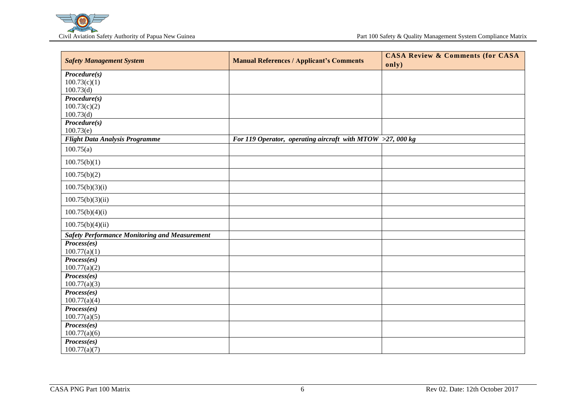

| <b>Safety Management System</b>                      | <b>Manual References / Applicant's Comments</b>           | <b>CASA Review &amp; Comments (for CASA</b> |
|------------------------------------------------------|-----------------------------------------------------------|---------------------------------------------|
|                                                      |                                                           | only)                                       |
| $Proceedure(s)$                                      |                                                           |                                             |
| 100.73(c)(1)                                         |                                                           |                                             |
| 100.73(d)                                            |                                                           |                                             |
| $Proceedure(s)$<br>100.73(c)(2)                      |                                                           |                                             |
| 100.73(d)                                            |                                                           |                                             |
| Procedure(s)                                         |                                                           |                                             |
| 100.73(e)                                            |                                                           |                                             |
| <b>Flight Data Analysis Programme</b>                | For 119 Operator, operating aircraft with MTOW >27,000 kg |                                             |
| 100.75(a)                                            |                                                           |                                             |
| 100.75(b)(1)                                         |                                                           |                                             |
| 100.75(b)(2)                                         |                                                           |                                             |
| 100.75(b)(3)(i)                                      |                                                           |                                             |
| 100.75(b)(3)(ii)                                     |                                                           |                                             |
| 100.75(b)(4)(i)                                      |                                                           |                                             |
| 100.75(b)(4)(ii)                                     |                                                           |                                             |
| <b>Safety Performance Monitoring and Measurement</b> |                                                           |                                             |
| Process(es)                                          |                                                           |                                             |
| 100.77(a)(1)                                         |                                                           |                                             |
| Process(es)                                          |                                                           |                                             |
| 100.77(a)(2)                                         |                                                           |                                             |
| Process(es)                                          |                                                           |                                             |
| 100.77(a)(3)<br>Process(es)                          |                                                           |                                             |
| 100.77(a)(4)                                         |                                                           |                                             |
| Process(es)                                          |                                                           |                                             |
| 100.77(a)(5)                                         |                                                           |                                             |
| Process(es)                                          |                                                           |                                             |
| 100.77(a)(6)                                         |                                                           |                                             |
| Process(es)                                          |                                                           |                                             |
| 100.77(a)(7)                                         |                                                           |                                             |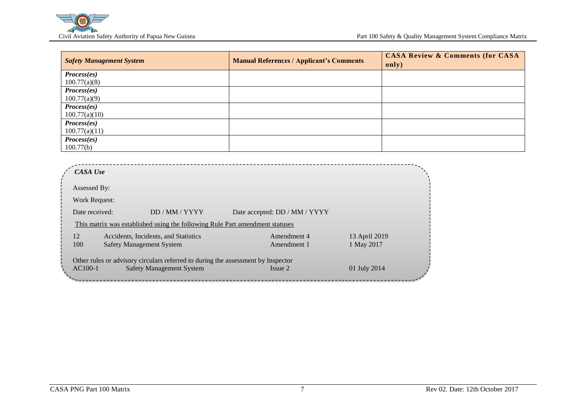

| <b>Safety Management System</b> | <b>Manual References / Applicant's Comments</b> | <b>CASA Review &amp; Comments (for CASA</b><br>only) |
|---------------------------------|-------------------------------------------------|------------------------------------------------------|
| Process(es)                     |                                                 |                                                      |
| 100.77(a)(8)                    |                                                 |                                                      |
| Process(es)                     |                                                 |                                                      |
| 100.77(a)(9)                    |                                                 |                                                      |
| Process(es)                     |                                                 |                                                      |
| 100.77(a)(10)                   |                                                 |                                                      |
| Process(es)                     |                                                 |                                                      |
| 100.77(a)(11)                   |                                                 |                                                      |
| Process(es)                     |                                                 |                                                      |
| 100.77(b)                       |                                                 |                                                      |

|     | Assessed By:                                                                     |                               |               |
|-----|----------------------------------------------------------------------------------|-------------------------------|---------------|
|     | Work Request:                                                                    |                               |               |
|     | DD / MM / YYYY<br>Date received:                                                 | Date accepted: DD / MM / YYYY |               |
|     | This matrix was established using the following Rule Part amendment statuses     |                               |               |
| 12  | Accidents, Incidents, and Statistics                                             | Amendment 4                   | 13 April 2019 |
| 100 | <b>Safety Management System</b>                                                  | Amendment 1                   | 1 May 2017    |
|     | Other rules or advisory circulars referred to during the assessment by Inspector |                               |               |
|     |                                                                                  | Issue 2                       | 01 July 2014  |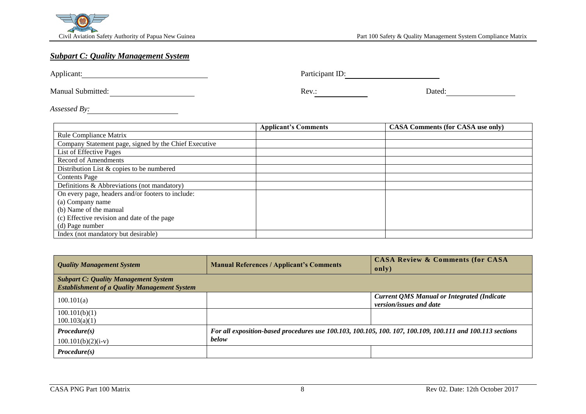

## *Subpart C: Quality Management System*

Applicant: Participant ID:

Manual Submitted: <u>Contractive Contractive Contractive Contractive Contractive Contractive Contractive Contractive Contractive Contractive Contractive Contractive Contractive Contractive Contractive Contractive Contractive</u>

*Assessed By:*

|                                                       | <b>Applicant's Comments</b> | <b>CASA Comments (for CASA use only)</b> |
|-------------------------------------------------------|-----------------------------|------------------------------------------|
| <b>Rule Compliance Matrix</b>                         |                             |                                          |
| Company Statement page, signed by the Chief Executive |                             |                                          |
| List of Effective Pages                               |                             |                                          |
| Record of Amendments                                  |                             |                                          |
| Distribution List & copies to be numbered             |                             |                                          |
| <b>Contents Page</b>                                  |                             |                                          |
| Definitions & Abbreviations (not mandatory)           |                             |                                          |
| On every page, headers and/or footers to include:     |                             |                                          |
| (a) Company name                                      |                             |                                          |
| (b) Name of the manual                                |                             |                                          |
| (c) Effective revision and date of the page           |                             |                                          |
| (d) Page number                                       |                             |                                          |
| Index (not mandatory but desirable)                   |                             |                                          |

| <b>Quality Management System</b>                                                                   | <b>Manual References / Applicant's Comments</b>                                                                   | <b>CASA Review &amp; Comments (for CASA</b><br>only)                         |
|----------------------------------------------------------------------------------------------------|-------------------------------------------------------------------------------------------------------------------|------------------------------------------------------------------------------|
| <b>Subpart C: Quality Management System</b><br><b>Establishment of a Quality Management System</b> |                                                                                                                   |                                                                              |
| 100.101(a)                                                                                         |                                                                                                                   | <b>Current QMS Manual or Integrated (Indicate</b><br>version/issues and date |
| 100.101(b)(1)<br>100.103(a)(1)                                                                     |                                                                                                                   |                                                                              |
| $Proceedure(s)$<br>$100.101(b)(2)(i-v)$                                                            | For all exposition-based procedures use 100.103, 100.105, 100.107, 100.109, 100.111 and 100.113 sections<br>below |                                                                              |
| $Proceedure(s)$                                                                                    |                                                                                                                   |                                                                              |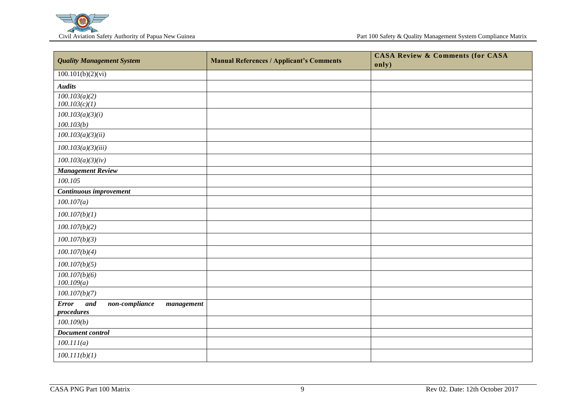

| <b>Quality Management System</b>                                    | <b>Manual References / Applicant's Comments</b> | <b>CASA Review &amp; Comments (for CASA</b><br>only) |
|---------------------------------------------------------------------|-------------------------------------------------|------------------------------------------------------|
| 100.101(b)(2)(vi)                                                   |                                                 |                                                      |
| <b>Audits</b>                                                       |                                                 |                                                      |
| 100.103(a)(2)<br>100.103(c)(1)                                      |                                                 |                                                      |
| 100.103(a)(3)(i)                                                    |                                                 |                                                      |
| 100.103(b)                                                          |                                                 |                                                      |
| 100.103(a)(3)(ii)                                                   |                                                 |                                                      |
| 100.103(a)(3)(iii)                                                  |                                                 |                                                      |
| 100.103(a)(3)(iv)                                                   |                                                 |                                                      |
| <b>Management Review</b>                                            |                                                 |                                                      |
| 100.105                                                             |                                                 |                                                      |
| Continuous improvement                                              |                                                 |                                                      |
| 100.107(a)                                                          |                                                 |                                                      |
| 100.107(b)(1)                                                       |                                                 |                                                      |
| 100.107(b)(2)                                                       |                                                 |                                                      |
| 100.107(b)(3)                                                       |                                                 |                                                      |
| 100.107(b)(4)                                                       |                                                 |                                                      |
| 100.107(b)(5)                                                       |                                                 |                                                      |
| 100.107(b)(6)<br>100.109(a)                                         |                                                 |                                                      |
| 100.107(b)(7)                                                       |                                                 |                                                      |
| $non-compliance$<br><b>Error</b><br>and<br>management<br>procedures |                                                 |                                                      |
| 100.109(b)                                                          |                                                 |                                                      |
| Document control                                                    |                                                 |                                                      |
| 100.111(a)                                                          |                                                 |                                                      |
| 100.111(b)(1)                                                       |                                                 |                                                      |